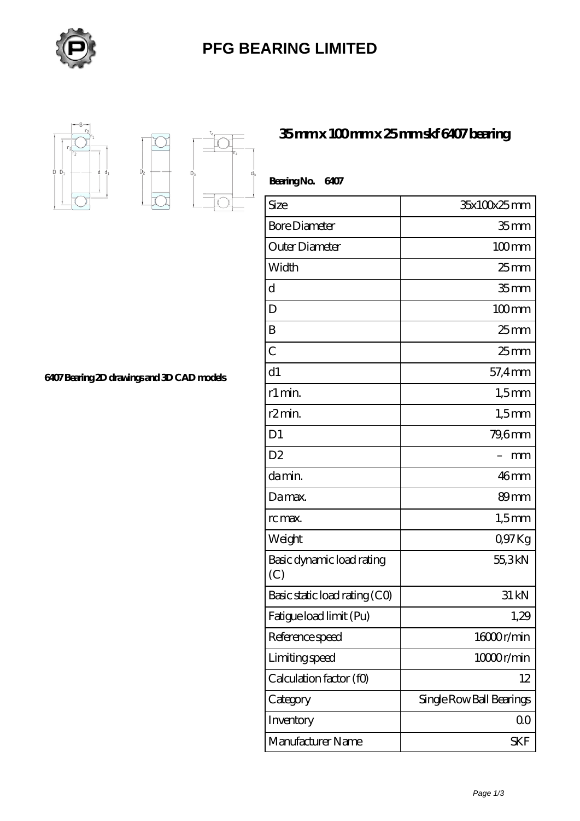

## **[PFG BEARING LIMITED](https://meatcuttersclub.org)**



 $D_{a}$ 

 $D<sub>2</sub>$ 

**[6407 Bearing 2D drawings and 3D CAD models](https://meatcuttersclub.org/pic-456254.html)**

| 35mmx100mmx25mmskf6407bearing |  |  |
|-------------------------------|--|--|
|-------------------------------|--|--|

| BearingNo.<br>6407               |                          |
|----------------------------------|--------------------------|
| Size                             | 35x100x25mm              |
| <b>Bore Diameter</b>             | 35 <sub>mm</sub>         |
| Outer Diameter                   | $100$ mm                 |
| Width                            | $25 \text{mm}$           |
| d                                | 35 <sub>mm</sub>         |
| D                                | $100 \text{mm}$          |
| B                                | $25 \text{mm}$           |
| $\overline{C}$                   | $25$ <sub>mm</sub>       |
| d1                               | 57,4mm                   |
| r1 min.                          | $1,5$ mm                 |
| r2min.                           | $1,5$ mm                 |
| D <sub>1</sub>                   | 79,6mm                   |
| D <sub>2</sub>                   | mm                       |
| damin.                           | 46mm                     |
| Damax.                           | 89mm                     |
| rc max.                          | $1,5$ mm                 |
| Weight                           | Q97Kg                    |
| Basic dynamic load rating<br>(C) | 55,3kN                   |
| Basic static load rating (CO)    | 31 kN                    |
| Fatigue load limit (Pu)          | 1,29                     |
| Reference speed                  | 16000r/min               |
| Limiting speed                   | 10000r/min               |
| Calculation factor (f0)          | 12                       |
| Category                         | Single Row Ball Bearings |
| Inventory                        | 0 <sub>0</sub>           |
| Manufacturer Name                | SKF                      |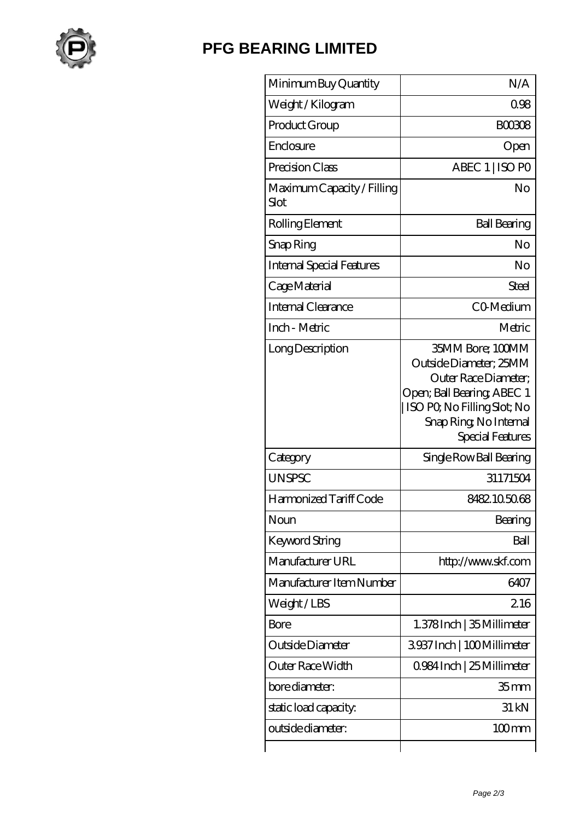

## **[PFG BEARING LIMITED](https://meatcuttersclub.org)**

| Minimum Buy Quantity               | N/A                                                                                                                                                                          |
|------------------------------------|------------------------------------------------------------------------------------------------------------------------------------------------------------------------------|
| Weight / Kilogram                  | 0.98                                                                                                                                                                         |
| Product Group                      | <b>BOO308</b>                                                                                                                                                                |
| Enclosure                          | Open                                                                                                                                                                         |
| Precision Class                    | ABEC 1   ISO PO                                                                                                                                                              |
| Maximum Capacity / Filling<br>Slot | No                                                                                                                                                                           |
| Rolling Element                    | <b>Ball Bearing</b>                                                                                                                                                          |
| Snap Ring                          | No                                                                                                                                                                           |
| <b>Internal Special Features</b>   | No                                                                                                                                                                           |
| Cage Material                      | Steel                                                                                                                                                                        |
| Internal Clearance                 | CO-Medium                                                                                                                                                                    |
| Inch - Metric                      | Metric                                                                                                                                                                       |
| Long Description                   | 35MM Bore; 100MM<br>Outside Diameter; 25MM<br>Outer Race Diameter;<br>Open; Ball Bearing; ABEC 1<br>ISO PQ No Filling Slot; No<br>Snap Ring, No Internal<br>Special Features |
| Category                           | Single Row Ball Bearing                                                                                                                                                      |
| <b>UNSPSC</b>                      | 31171504                                                                                                                                                                     |
| Harmonized Tariff Code             | 8482105068                                                                                                                                                                   |
| Noun                               | Bearing                                                                                                                                                                      |
| Keyword String                     | Ball                                                                                                                                                                         |
| Manufacturer URL                   | http://www.skf.com                                                                                                                                                           |
| Manufacturer Item Number           | 6407                                                                                                                                                                         |
| Weight/LBS                         | 216                                                                                                                                                                          |
| Bore                               | 1.378 Inch   35 Millimeter                                                                                                                                                   |
| Outside Diameter                   | 3937Inch   100Millimeter                                                                                                                                                     |
| Outer Race Width                   | 0.984 Inch   25 Millimeter                                                                                                                                                   |
| bore diameter:                     | 35 <sub>mm</sub>                                                                                                                                                             |
| static load capacity.              | 31 kN                                                                                                                                                                        |
| outside diameter:                  | 100mm                                                                                                                                                                        |
|                                    |                                                                                                                                                                              |